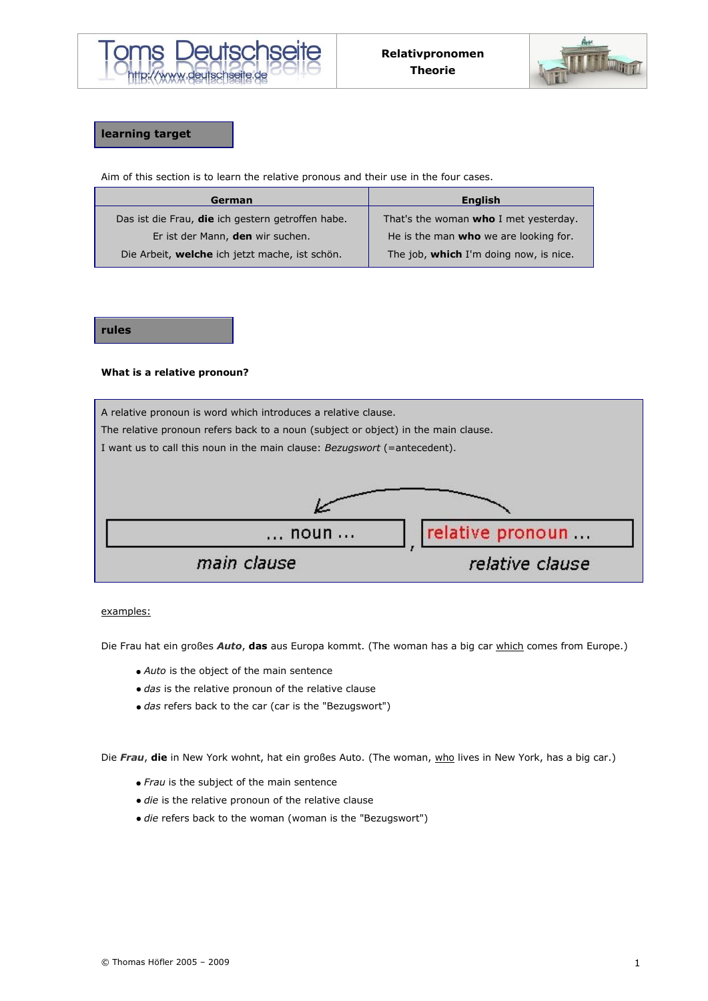



# **learning target**

Aim of this section is to learn the relative pronous and their use in the four cases.

| German                                            | <b>English</b>                               |
|---------------------------------------------------|----------------------------------------------|
| Das ist die Frau, die ich gestern getroffen habe. | That's the woman <b>who</b> I met yesterday. |
| Er ist der Mann, den wir suchen.                  | He is the man who we are looking for.        |
| Die Arbeit, welche ich jetzt mache, ist schön.    | The job, which I'm doing now, is nice.       |

### **rules**

### **What is a relative pronoun?**



examples:

Die Frau hat ein großes *Auto*, **das** aus Europa kommt. (The woman has a big car which comes from Europe.)

- *Auto* is the object of the main sentence
- *das* is the relative pronoun of the relative clause
- *das* refers back to the car (car is the "Bezugswort")

Die Frau, die in New York wohnt, hat ein großes Auto. (The woman, who lives in New York, has a big car.)

- *Frau* is the subject of the main sentence
- *die* is the relative pronoun of the relative clause
- *die* refers back to the woman (woman is the "Bezugswort")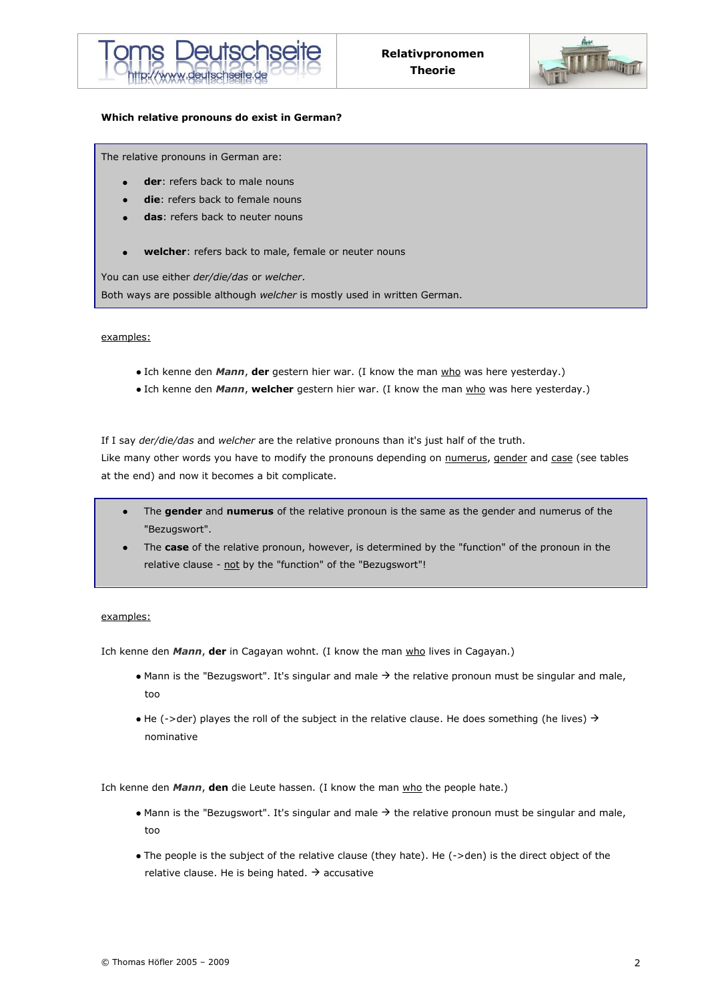



#### **Which relative pronouns do exist in German?**

The relative pronouns in German are:

- **der**: refers back to male nouns
- **die**: refers back to female nouns
- **das**: refers back to neuter nouns
- **welcher**: refers back to male, female or neuter nouns

You can use either *der/die/das* or *welcher*.

Both ways are possible although *welcher* is mostly used in written German.

#### examples:

- Ich kenne den *Mann*, der gestern hier war. (I know the man who was here yesterday.)
- Ich kenne den *Mann*, welcher gestern hier war. (I know the man who was here yesterday.)

If I say *der/die/das* and *welcher* are the relative pronouns than it's just half of the truth.

Like many other words you have to modify the pronouns depending on numerus, gender and case (see tables at the end) and now it becomes a bit complicate.

- The **gender** and **numerus** of the relative pronoun is the same as the gender and numerus of the "Bezugswort".
- The **case** of the relative pronoun, however, is determined by the "function" of the pronoun in the relative clause - not by the "function" of the "Bezugswort"!

### examples:

Ich kenne den *Mann*, **der** in Cagayan wohnt. (I know the man who lives in Cagayan.)

- Mann is the "Bezugswort". It's singular and male  $\rightarrow$  the relative pronoun must be singular and male, too
- $\bullet$  He (->der) playes the roll of the subject in the relative clause. He does something (he lives)  $\rightarrow$ nominative

Ich kenne den *Mann*, **den** die Leute hassen. (I know the man who the people hate.)

- $\bullet$  Mann is the "Bezugswort". It's singular and male  $\rightarrow$  the relative pronoun must be singular and male, too
- The people is the subject of the relative clause (they hate). He (->den) is the direct object of the relative clause. He is being hated.  $\rightarrow$  accusative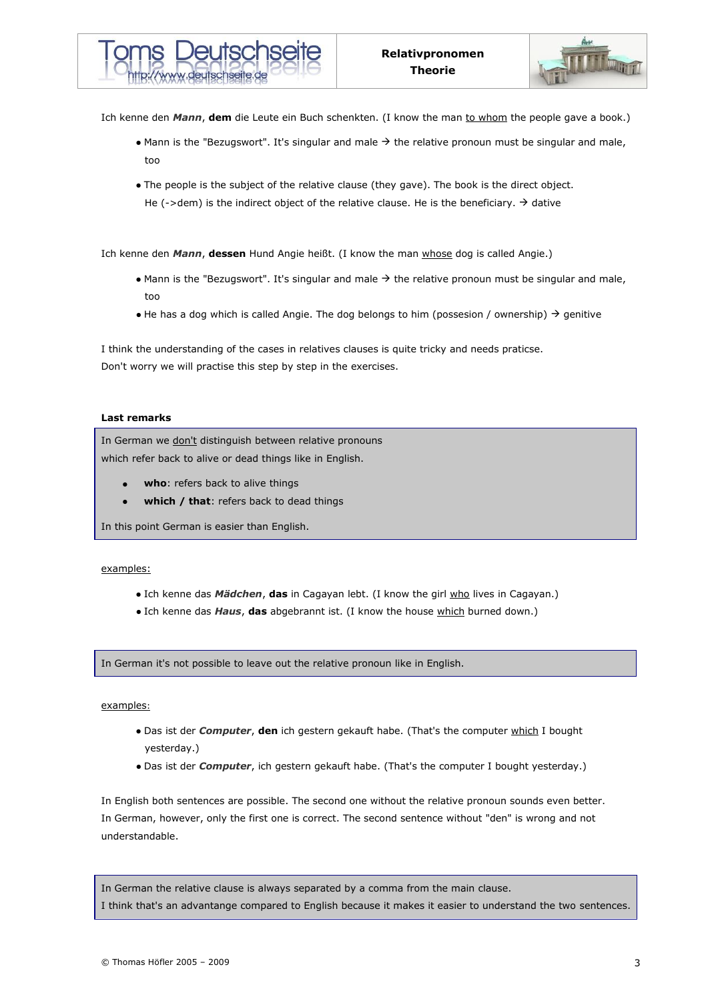

Ich kenne den *Mann*, dem die Leute ein Buch schenkten. (I know the man to whom the people gave a book.)

- Mann is the "Bezugswort". It's singular and male  $\rightarrow$  the relative pronoun must be singular and male, too
- The people is the subject of the relative clause (they gave). The book is the direct object. He (->dem) is the indirect object of the relative clause. He is the beneficiary.  $\rightarrow$  dative

Ich kenne den *Mann*, **dessen** Hund Angie heißt. (I know the man whose dog is called Angie.)

- $\bullet$  Mann is the "Bezugswort". It's singular and male  $\rightarrow$  the relative pronoun must be singular and male, too
- $\bullet$  He has a dog which is called Angie. The dog belongs to him (possesion / ownership)  $\rightarrow$  genitive

I think the understanding of the cases in relatives clauses is quite tricky and needs praticse. Don't worry we will practise this step by step in the exercises.

### **Last remarks**

In German we don't distinguish between relative pronouns which refer back to alive or dead things like in English.

- **who**: refers back to alive things
- **which / that**: refers back to dead things

In this point German is easier than English.

### examples:

- Ich kenne das *Mädchen*, **das** in Cagayan lebt. (I know the girl who lives in Cagayan.)
- Ich kenne das *Haus*, **das** abgebrannt ist. (I know the house which burned down.)

In German it's not possible to leave out the relative pronoun like in English.

### examples:

- Das ist der *Computer*, **den** ich gestern gekauft habe. (That's the computer which I bought yesterday.)
- Das ist der *Computer*, ich gestern gekauft habe. (That's the computer I bought yesterday.)

In English both sentences are possible. The second one without the relative pronoun sounds even better. In German, however, only the first one is correct. The second sentence without "den" is wrong and not understandable.

In German the relative clause is always separated by a comma from the main clause. I think that's an advantange compared to English because it makes it easier to understand the two sentences.